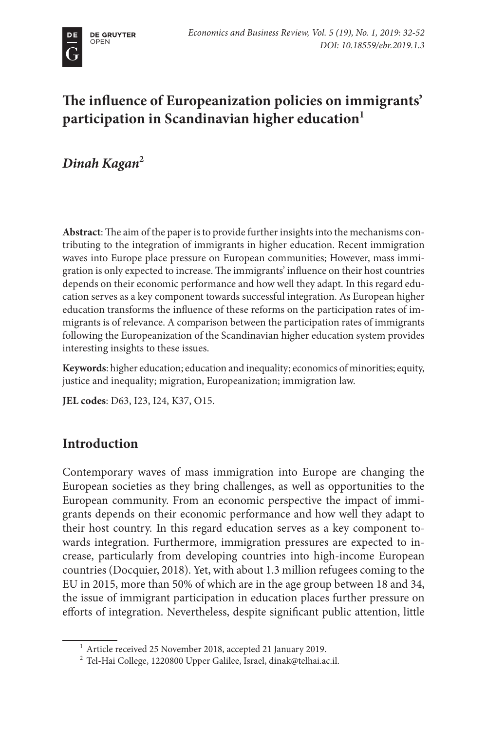# **The influence of Europeanization policies on immigrants' participation in Scandinavian higher education1**

*Dinah Kagan***<sup>2</sup>**

**Abstract**: The aim of the paper is to provide further insights into the mechanisms contributing to the integration of immigrants in higher education. Recent immigration waves into Europe place pressure on European communities; However, mass immigration is only expected to increase. The immigrants' influence on their host countries depends on their economic performance and how well they adapt. In this regard education serves as a key component towards successful integration. As European higher education transforms the influence of these reforms on the participation rates of immigrants is of relevance. A comparison between the participation rates of immigrants following the Europeanization of the Scandinavian higher education system provides interesting insights to these issues.

**Keywords**: higher education; education and inequality; economics of minorities; equity, justice and inequality; migration, Europeanization; immigration law.

**JEL codes**: D63, I23, I24, K37, O15.

# **Introduction**

Contemporary waves of mass immigration into Europe are changing the European societies as they bring challenges, as well as opportunities to the European community. From an economic perspective the impact of immigrants depends on their economic performance and how well they adapt to their host country. In this regard education serves as a key component towards integration. Furthermore, immigration pressures are expected to increase, particularly from developing countries into high-income European countries (Docquier, 2018). Yet, with about 1.3 million refugees coming to the EU in 2015, more than 50% of which are in the age group between 18 and 34, the issue of immigrant participation in education places further pressure on efforts of integration. Nevertheless, despite significant public attention, little

<sup>&</sup>lt;sup>1</sup> Article received 25 November 2018, accepted 21 January 2019.

 $^{\rm 2}$  Tel-Hai College, 1220800 Upper Galilee, Israel, dinak@telhai.ac.il.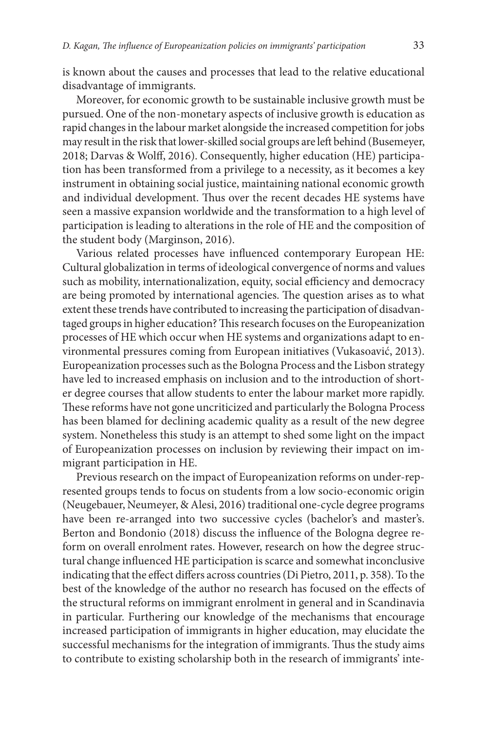is known about the causes and processes that lead to the relative educational disadvantage of immigrants.

Moreover, for economic growth to be sustainable inclusive growth must be pursued. One of the non-monetary aspects of inclusive growth is education as rapid changes in the labour market alongside the increased competition for jobs may result in the risk that lower-skilled social groups are left behind (Busemeyer, 2018; Darvas & Wolff, 2016). Consequently, higher education (HE) participation has been transformed from a privilege to a necessity, as it becomes a key instrument in obtaining social justice, maintaining national economic growth and individual development. Thus over the recent decades HE systems have seen a massive expansion worldwide and the transformation to a high level of participation is leading to alterations in the role of HE and the composition of the student body (Marginson, 2016).

Various related processes have influenced contemporary European HE: Cultural globalization in terms of ideological convergence of norms and values such as mobility, internationalization, equity, social efficiency and democracy are being promoted by international agencies. The question arises as to what extent these trends have contributed to increasing the participation of disadvantaged groups in higher education? This research focuses on the Europeanization processes of HE which occur when HE systems and organizations adapt to environmental pressures coming from European initiatives (Vukasoavić, 2013). Europeanization processes such as the Bologna Process and the Lisbon strategy have led to increased emphasis on inclusion and to the introduction of shorter degree courses that allow students to enter the labour market more rapidly. These reforms have not gone uncriticized and particularly the Bologna Process has been blamed for declining academic quality as a result of the new degree system. Nonetheless this study is an attempt to shed some light on the impact of Europeanization processes on inclusion by reviewing their impact on immigrant participation in HE.

Previous research on the impact of Europeanization reforms on under-represented groups tends to focus on students from a low socio-economic origin (Neugebauer, Neumeyer, & Alesi, 2016) traditional one-cycle degree programs have been re-arranged into two successive cycles (bachelor's and master's. Berton and Bondonio (2018) discuss the influence of the Bologna degree reform on overall enrolment rates. However, research on how the degree structural change influenced HE participation is scarce and somewhat inconclusive indicating that the effect differs across countries (Di Pietro, 2011, p. 358). To the best of the knowledge of the author no research has focused on the effects of the structural reforms on immigrant enrolment in general and in Scandinavia in particular. Furthering our knowledge of the mechanisms that encourage increased participation of immigrants in higher education, may elucidate the successful mechanisms for the integration of immigrants. Thus the study aims to contribute to existing scholarship both in the research of immigrants' inte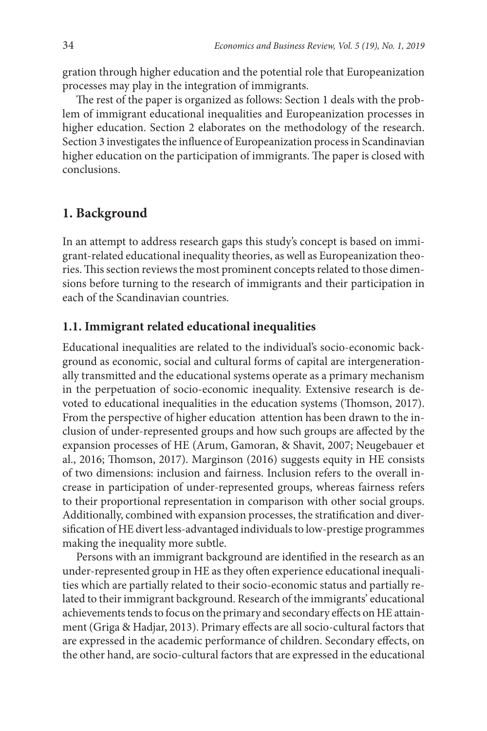gration through higher education and the potential role that Europeanization processes may play in the integration of immigrants.

The rest of the paper is organized as follows: Section 1 deals with the problem of immigrant educational inequalities and Europeanization processes in higher education. Section 2 elaborates on the methodology of the research. Section 3 investigates the influence of Europeanization process in Scandinavian higher education on the participation of immigrants. The paper is closed with conclusions.

# **1. Background**

In an attempt to address research gaps this study's concept is based on immigrant-related educational inequality theories, as well as Europeanization theories. This section reviews the most prominent concepts related to those dimensions before turning to the research of immigrants and their participation in each of the Scandinavian countries.

### **1.1. Immigrant related educational inequalities**

Educational inequalities are related to the individual's socio-economic background as economic, social and cultural forms of capital are intergenerationally transmitted and the educational systems operate as a primary mechanism in the perpetuation of socio-economic inequality. Extensive research is devoted to educational inequalities in the education systems (Thomson, 2017). From the perspective of higher education attention has been drawn to the inclusion of under-represented groups and how such groups are affected by the expansion processes of HE (Arum, Gamoran, & Shavit, 2007; Neugebauer et al., 2016; Thomson, 2017). Marginson (2016) suggests equity in HE consists of two dimensions: inclusion and fairness. Inclusion refers to the overall increase in participation of under-represented groups, whereas fairness refers to their proportional representation in comparison with other social groups. Additionally, combined with expansion processes, the stratification and diversification of HE divert less-advantaged individuals to low-prestige programmes making the inequality more subtle.

Persons with an immigrant background are identified in the research as an under-represented group in HE as they often experience educational inequalities which are partially related to their socio-economic status and partially related to their immigrant background. Research of the immigrants' educational achievements tends to focus on the primary and secondary effects on HE attainment (Griga & Hadjar, 2013). Primary effects are all socio-cultural factors that are expressed in the academic performance of children. Secondary effects, on the other hand, are socio-cultural factors that are expressed in the educational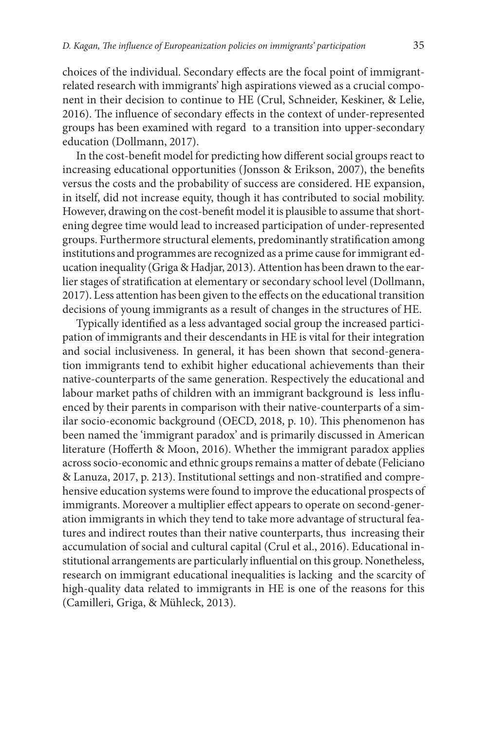choices of the individual. Secondary effects are the focal point of immigrantrelated research with immigrants' high aspirations viewed as a crucial component in their decision to continue to HE (Crul, Schneider, Keskiner, & Lelie, 2016). The influence of secondary effects in the context of under-represented groups has been examined with regard to a transition into upper-secondary education (Dollmann, 2017).

In the cost-benefit model for predicting how different social groups react to increasing educational opportunities (Jonsson & Erikson, 2007), the benefits versus the costs and the probability of success are considered. HE expansion, in itself, did not increase equity, though it has contributed to social mobility. However, drawing on the cost-benefit model it is plausible to assume that shortening degree time would lead to increased participation of under-represented groups. Furthermore structural elements, predominantly stratification among institutions and programmes are recognized as a prime cause for immigrant education inequality (Griga & Hadjar, 2013). Attention has been drawn to the earlier stages of stratification at elementary or secondary school level (Dollmann, 2017). Less attention has been given to the effects on the educational transition decisions of young immigrants as a result of changes in the structures of HE.

Typically identified as a less advantaged social group the increased participation of immigrants and their descendants in HE is vital for their integration and social inclusiveness. In general, it has been shown that second-generation immigrants tend to exhibit higher educational achievements than their native-counterparts of the same generation. Respectively the educational and labour market paths of children with an immigrant background is less influenced by their parents in comparison with their native-counterparts of a similar socio-economic background (OECD, 2018, p. 10). This phenomenon has been named the 'immigrant paradox' and is primarily discussed in American literature (Hofferth & Moon, 2016). Whether the immigrant paradox applies across socio-economic and ethnic groups remains a matter of debate (Feliciano & Lanuza, 2017, p. 213). Institutional settings and non-stratified and comprehensive education systems were found to improve the educational prospects of immigrants. Moreover a multiplier effect appears to operate on second-generation immigrants in which they tend to take more advantage of structural features and indirect routes than their native counterparts, thus increasing their accumulation of social and cultural capital (Crul et al., 2016). Educational institutional arrangements are particularly influential on this group. Nonetheless, research on immigrant educational inequalities is lacking and the scarcity of high-quality data related to immigrants in HE is one of the reasons for this (Camilleri, Griga, & Mühleck, 2013).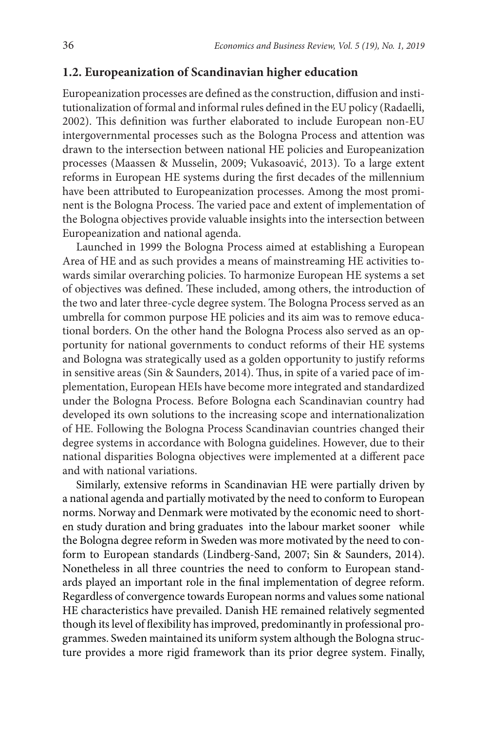#### **1.2. Europeanization of Scandinavian higher education**

Europeanization processes are defined as the construction, diffusion and institutionalization of formal and informal rules defined in the EU policy (Radaelli, 2002). This definition was further elaborated to include European non-EU intergovernmental processes such as the Bologna Process and attention was drawn to the intersection between national HE policies and Europeanization processes (Maassen & Musselin, 2009; Vukasoavić, 2013). To a large extent reforms in European HE systems during the first decades of the millennium have been attributed to Europeanization processes. Among the most prominent is the Bologna Process. The varied pace and extent of implementation of the Bologna objectives provide valuable insights into the intersection between Europeanization and national agenda.

Launched in 1999 the Bologna Process aimed at establishing a European Area of HE and as such provides a means of mainstreaming HE activities towards similar overarching policies. To harmonize European HE systems a set of objectives was defined. These included, among others, the introduction of the two and later three-cycle degree system. The Bologna Process served as an umbrella for common purpose HE policies and its aim was to remove educational borders. On the other hand the Bologna Process also served as an opportunity for national governments to conduct reforms of their HE systems and Bologna was strategically used as a golden opportunity to justify reforms in sensitive areas (Sin & Saunders, 2014). Thus, in spite of a varied pace of implementation, European HEIs have become more integrated and standardized under the Bologna Process. Before Bologna each Scandinavian country had developed its own solutions to the increasing scope and internationalization of HE. Following the Bologna Process Scandinavian countries changed their degree systems in accordance with Bologna guidelines. However, due to their national disparities Bologna objectives were implemented at a different pace and with national variations.

Similarly, extensive reforms in Scandinavian HE were partially driven by a national agenda and partially motivated by the need to conform to European norms. Norway and Denmark were motivated by the economic need to shorten study duration and bring graduates into the labour market sooner while the Bologna degree reform in Sweden was more motivated by the need to conform to European standards (Lindberg-Sand, 2007; Sin & Saunders, 2014). Nonetheless in all three countries the need to conform to European standards played an important role in the final implementation of degree reform. Regardless of convergence towards European norms and values some national HE characteristics have prevailed. Danish HE remained relatively segmented though its level of flexibility has improved, predominantly in professional programmes. Sweden maintained its uniform system although the Bologna structure provides a more rigid framework than its prior degree system. Finally,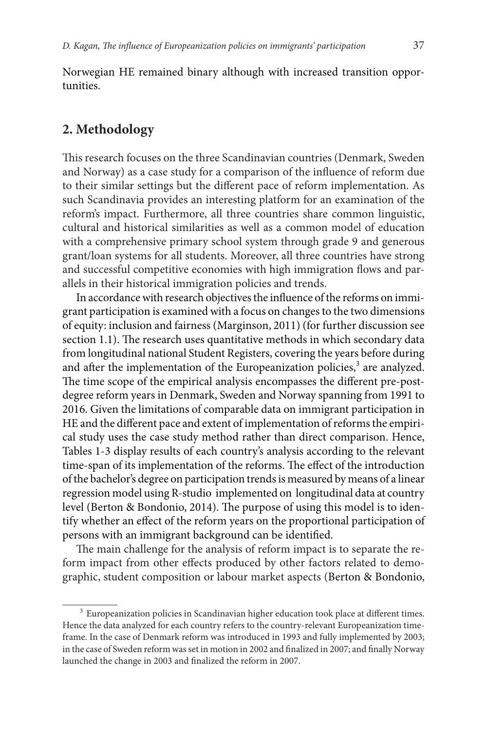Norwegian HE remained binary although with increased transition opportunities.

## **2. Methodology**

This research focuses on the three Scandinavian countries (Denmark, Sweden and Norway) as a case study for a comparison of the influence of reform due to their similar settings but the different pace of reform implementation. As such Scandinavia provides an interesting platform for an examination of the reform's impact. Furthermore, all three countries share common linguistic, cultural and historical similarities as well as a common model of education with a comprehensive primary school system through grade 9 and generous grant/loan systems for all students. Moreover, all three countries have strong and successful competitive economies with high immigration flows and parallels in their historical immigration policies and trends.

In accordance with research objectives the influence of the reforms on immigrant participation is examined with a focus on changes to the two dimensions of equity: inclusion and fairness (Marginson, 2011) (for further discussion see section 1.1). The research uses quantitative methods in which secondary data from longitudinal national Student Registers, covering the years before during and after the implementation of the Europeanization policies,<sup>3</sup> are analyzed. The time scope of the empirical analysis encompasses the different pre-postdegree reform years in Denmark, Sweden and Norway spanning from 1991 to 2016. Given the limitations of comparable data on immigrant participation in HE and the different pace and extent of implementation of reforms the empirical study uses the case study method rather than direct comparison. Hence, Tables 1-3 display results of each country's analysis according to the relevant time-span of its implementation of the reforms. The effect of the introduction of the bachelor's degree on participation trends is measured by means of a linear regression model using R-studio implemented on longitudinal data at country level (Berton & Bondonio, 2014). The purpose of using this model is to identify whether an effect of the reform years on the proportional participation of persons with an immigrant background can be identified.

The main challenge for the analysis of reform impact is to separate the reform impact from other effects produced by other factors related to demographic, student composition or labour market aspects (Berton & Bondonio,

<sup>&</sup>lt;sup>3</sup> Europeanization policies in Scandinavian higher education took place at different times. Hence the data analyzed for each country refers to the country-relevant Europeanization timeframe. In the case of Denmark reform was introduced in 1993 and fully implemented by 2003; in the case of Sweden reform was set in motion in 2002 and finalized in 2007; and finally Norway launched the change in 2003 and finalized the reform in 2007.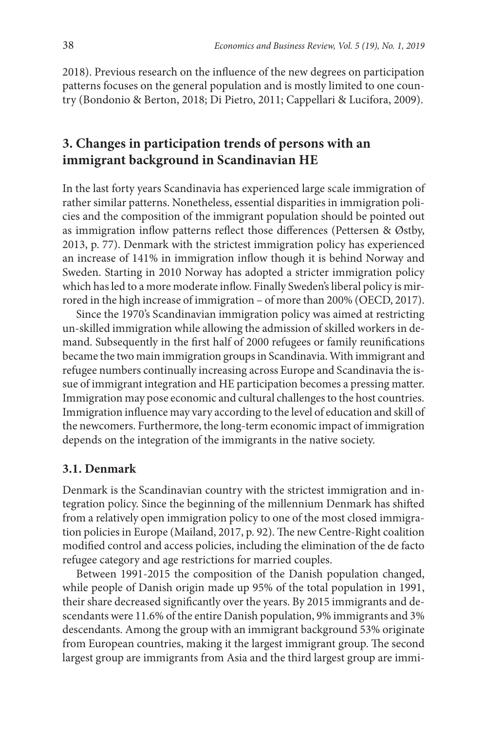2018). Previous research on the influence of the new degrees on participation patterns focuses on the general population and is mostly limited to one country (Bondonio & Berton, 2018; Di Pietro, 2011; Cappellari & Lucifora, 2009).

# **3. Changes in participation trends of persons with an immigrant background in Scandinavian HE**

In the last forty years Scandinavia has experienced large scale immigration of rather similar patterns. Nonetheless, essential disparities in immigration policies and the composition of the immigrant population should be pointed out as immigration inflow patterns reflect those differences (Pettersen & Østby, 2013, p. 77). Denmark with the strictest immigration policy has experienced an increase of 141% in immigration inflow though it is behind Norway and Sweden. Starting in 2010 Norway has adopted a stricter immigration policy which has led to a more moderate inflow. Finally Sweden's liberal policy is mirrored in the high increase of immigration – of more than 200% (OECD, 2017).

Since the 1970's Scandinavian immigration policy was aimed at restricting un-skilled immigration while allowing the admission of skilled workers in demand. Subsequently in the first half of 2000 refugees or family reunifications became the two main immigration groups in Scandinavia. With immigrant and refugee numbers continually increasing across Europe and Scandinavia the issue of immigrant integration and HE participation becomes a pressing matter. Immigration may pose economic and cultural challenges to the host countries. Immigration influence may vary according to the level of education and skill of the newcomers. Furthermore, the long-term economic impact of immigration depends on the integration of the immigrants in the native society.

#### **3.1. Denmark**

Denmark is the Scandinavian country with the strictest immigration and integration policy. Since the beginning of the millennium Denmark has shifted from a relatively open immigration policy to one of the most closed immigration policies in Europe (Mailand, 2017, p. 92). The new Centre-Right coalition modified control and access policies, including the elimination of the de facto refugee category and age restrictions for married couples.

Between 1991-2015 the composition of the Danish population changed, while people of Danish origin made up 95% of the total population in 1991, their share decreased significantly over the years. By 2015 immigrants and descendants were 11.6% of the entire Danish population, 9% immigrants and 3% descendants. Among the group with an immigrant background 53% originate from European countries, making it the largest immigrant group. The second largest group are immigrants from Asia and the third largest group are immi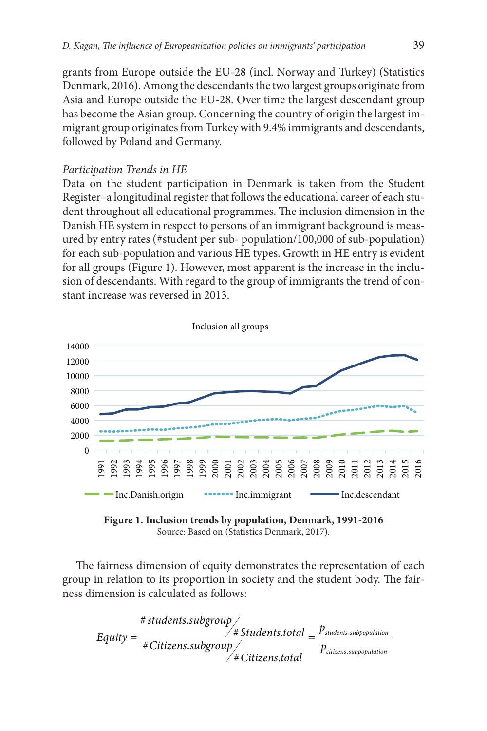grants from Europe outside the EU-28 (incl. Norway and Turkey) (Statistics Denmark, 2016). Among the descendants the two largest groups originate from Asia and Europe outside the EU-28. Over time the largest descendant group has become the Asian group. Concerning the country of origin the largest immigrant group originates from Turkey with 9.4% immigrants and descendants, followed by Poland and Germany.

#### *Participation Trends in HE*

Data on the student participation in Denmark is taken from the Student Register–a longitudinal register that follows the educational career of each student throughout all educational programmes. The inclusion dimension in the Danish HE system in respect to persons of an immigrant background is measured by entry rates (#student per sub- population/100,000 of sub-population) for each sub-population and various HE types. Growth in HE entry is evident for all groups (Figure 1). However, most apparent is the increase in the inclusion of descendants. With regard to the group of immigrants the trend of constant increase was reversed in 2013.



**Figure 1. Inclusion trends by population, Denmark, 1991-2016** Source: Based on (Statistics Denmark, 2017).

The fairness dimension of equity demonstrates the representation of each group in relation to its proportion in society and the student body. The fairness dimension is calculated as follows:

$$
\# students.subgroup \leftarrow \\
Equity = \frac{\# Students,total}{\# Citizens.subgroup} = \frac{P_{students, subpopulation}}{P_{ciizens, subpopulation}}
$$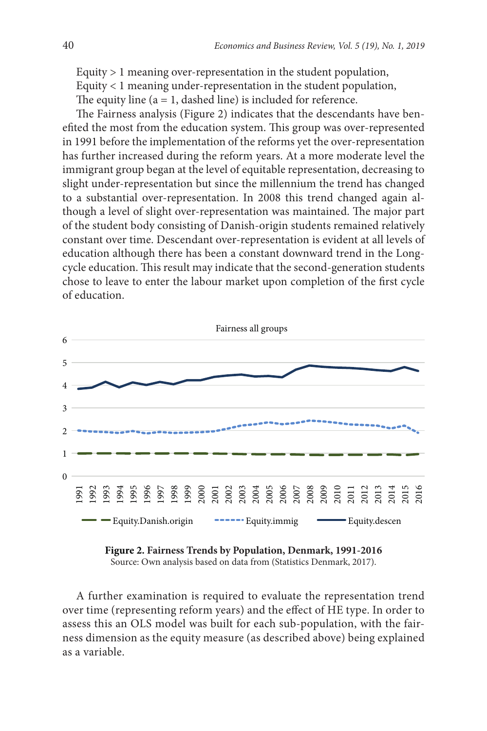Equity > 1 meaning over-representation in the student population, Equity < 1 meaning under-representation in the student population, The equity line  $(a = 1, dashed line)$  is included for reference.

The Fairness analysis (Figure 2) indicates that the descendants have benefited the most from the education system. This group was over-represented in 1991 before the implementation of the reforms yet the over-representation has further increased during the reform years. At a more moderate level the immigrant group began at the level of equitable representation, decreasing to slight under-representation but since the millennium the trend has changed to a substantial over-representation. In 2008 this trend changed again although a level of slight over-representation was maintained. The major part of the student body consisting of Danish-origin students remained relatively constant over time. Descendant over-representation is evident at all levels of education although there has been a constant downward trend in the Longcycle education. This result may indicate that the second-generation students chose to leave to enter the labour market upon completion of the first cycle of education.



**Figure 2. Fairness Trends by Population, Denmark, 1991-2016** Source: Own analysis based on data from (Statistics Denmark, 2017).

A further examination is required to evaluate the representation trend over time (representing reform years) and the effect of HE type. In order to assess this an OLS model was built for each sub-population, with the fairness dimension as the equity measure (as described above) being explained as a variable.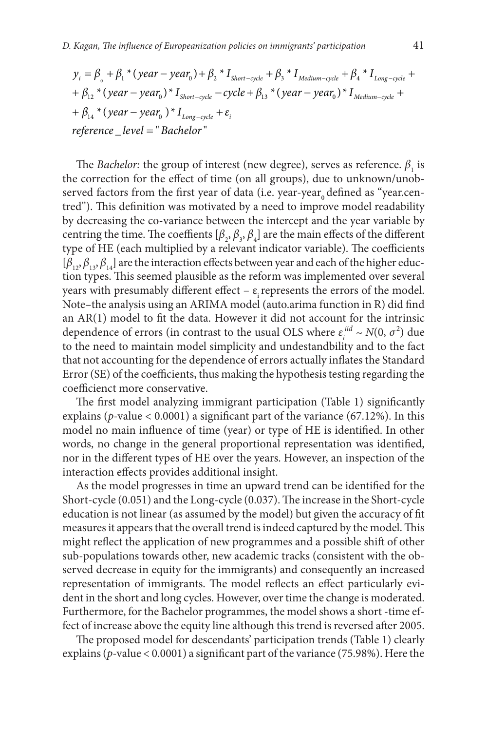$$
y_i = \beta_0 + \beta_1 * (year - year_0) + \beta_2 * I_{Short-cycle} + \beta_3 * I_{Median-cycle} + \beta_4 * I_{Long-cycle} ++ \beta_{12} * (year - year_0) * I_{Short-cycle} - cycle + \beta_{13} * (year - year_0) * I_{Median-cycle} ++ \beta_{14} * (year - year_0) * I_{Long-cycle} + \varepsilon_ireference\_level = "Bachelor"
$$

The *Bachelor*: the group of interest (new degree), serves as reference.  $\beta_1$  is the correction for the effect of time (on all groups), due to unknown/unobserved factors from the first year of data (i.e. year-year, defined as "year.centred"). This definition was motivated by a need to improve model readability by decreasing the co-variance between the intercept and the year variable by centring the time. The coeffients  $[\beta_2, \beta_3, \beta_4]$  are the main effects of the different type of HE (each multiplied by a relevant indicator variable). The coefficients  $[\beta_{12}, \beta_{13}, \beta_{14}]$  are the interaction effects between year and each of the higher eduction types. This seemed plausible as the reform was implemented over several years with presumably different effect –  $\varepsilon$  represents the errors of the model. Note–the analysis using an ARIMA model (auto.arima function in R) did find an AR(1) model to fit the data. However it did not account for the intrinsic dependence of errors (in contrast to the usual OLS where  $\varepsilon_i^{iid} \sim N(0, \sigma^2)$  due to the need to maintain model simplicity and undestandbility and to the fact that not accounting for the dependence of errors actually inflates the Standard Error (SE) of the coefficients, thus making the hypothesis testing regarding the coefficienct more conservative.

The first model analyzing immigrant participation (Table 1) significantly explains (*p-*value < 0.0001) a significant part of the variance (67.12%). In this model no main influence of time (year) or type of HE is identified. In other words, no change in the general proportional representation was identified, nor in the different types of HE over the years. However, an inspection of the interaction effects provides additional insight.

As the model progresses in time an upward trend can be identified for the Short-cycle (0.051) and the Long-cycle (0.037). The increase in the Short-cycle education is not linear (as assumed by the model) but given the accuracy of fit measures it appears that the overall trend is indeed captured by the model. This might reflect the application of new programmes and a possible shift of other sub-populations towards other, new academic tracks (consistent with the observed decrease in equity for the immigrants) and consequently an increased representation of immigrants. The model reflects an effect particularly evident in the short and long cycles. However, over time the change is moderated. Furthermore, for the Bachelor programmes, the model shows a short -time effect of increase above the equity line although this trend is reversed after 2005.

The proposed model for descendants' participation trends (Table 1) clearly explains (*p-*value < 0.0001) a significant part of the variance (75.98%). Here the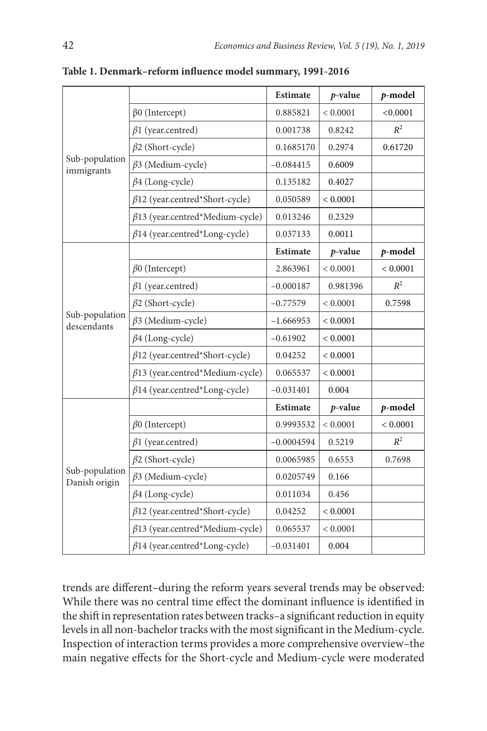|                                 |                                        | <b>Estimate</b> | $p$ -value   | p-model  |
|---------------------------------|----------------------------------------|-----------------|--------------|----------|
| Sub-population<br>immigrants    | $\beta$ 0 (Intercept)                  | 0.885821        | < 0.0001     | < 0.0001 |
|                                 | $\beta$ 1 (year.centred)               | 0.001738        | 0.8242       | $R^2$    |
|                                 | $\beta$ 2 (Short-cycle)                | 0.1685170       | 0.2974       | 0.61720  |
|                                 | $\beta$ 3 (Medium-cycle)               | $-0.084415$     | 0.6009       |          |
|                                 | $\beta$ 4 (Long-cycle)                 | 0.135182        | 0.4027       |          |
|                                 | $\beta$ 12 (year.centred*Short-cycle)  | 0.050589        | < 0.0001     |          |
|                                 | $\beta$ 13 (year.centred*Medium-cycle) | 0.013246        | 0.2329       |          |
|                                 | $\beta$ 14 (year.centred*Long-cycle)   | 0.037133        | 0.0011       |          |
|                                 |                                        | <b>Estimate</b> | $p$ -value   | p-model  |
|                                 | $\beta$ 0 (Intercept)                  | 2.863961        | ${}< 0.0001$ | < 0.0001 |
|                                 | $\beta$ 1 (year.centred)               | $-0.000187$     | 0.981396     | $R^2$    |
|                                 | $\beta$ 2 (Short-cycle)                | $-0.77579$      | < 0.0001     | 0.7598   |
| Sub-population<br>descendants   | $\beta$ 3 (Medium-cycle)               | $-1.666953$     | < 0.0001     |          |
|                                 | $\beta$ 4 (Long-cycle)                 | $-0.61902$      | < 0.0001     |          |
|                                 | $\beta$ 12 (year.centred*Short-cycle)  | 0.04252         | < 0.0001     |          |
|                                 | $\beta$ 13 (year.centred*Medium-cycle) | 0.065537        | < 0.0001     |          |
|                                 | $\beta$ 14 (year.centred*Long-cycle)   | $-0.031401$     | 0.004        |          |
|                                 |                                        | <b>Estimate</b> | $p$ -value   | p-model  |
| Sub-population<br>Danish origin | $\beta$ 0 (Intercept)                  | 0.9993532       | < 0.0001     | < 0.0001 |
|                                 | $\beta$ 1 (year.centred)               | $-0.0004594$    | 0.5219       | $R^2$    |
|                                 | $\beta$ 2 (Short-cycle)                | 0.0065985       | 0.6553       | 0.7698   |
|                                 | $\beta$ 3 (Medium-cycle)               | 0.0205749       | 0.166        |          |
|                                 | $\beta$ 4 (Long-cycle)                 | 0.011034        | 0.456        |          |
|                                 | $\beta$ 12 (year.centred*Short-cycle)  | 0.04252         | ${}< 0.0001$ |          |
|                                 | $\beta$ 13 (year.centred*Medium-cycle) | 0.065537        | ${}< 0.0001$ |          |
|                                 | $\beta$ 14 (year.centred*Long-cycle)   | $-0.031401$     | 0.004        |          |

**Table 1. Denmark–reform influence model summary, 1991-2016**

trends are different–during the reform years several trends may be observed: While there was no central time effect the dominant influence is identified in the shift in representation rates between tracks–a significant reduction in equity levels in all non-bachelor tracks with the most significant in the Medium-cycle. Inspection of interaction terms provides a more comprehensive overview–the main negative effects for the Short-cycle and Medium-cycle were moderated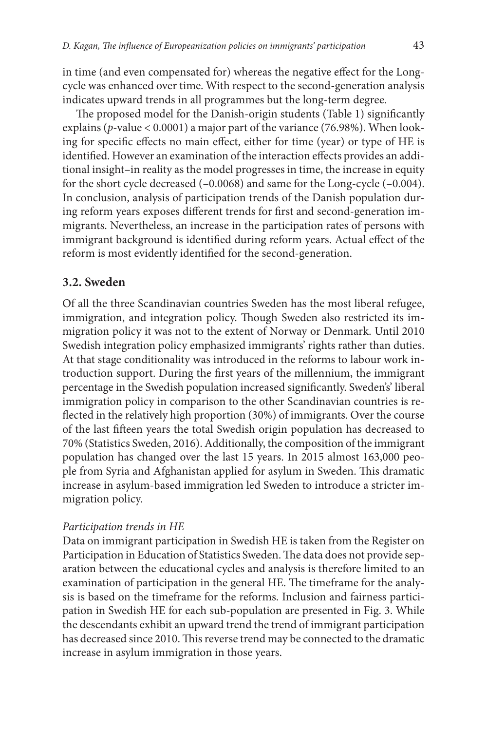in time (and even compensated for) whereas the negative effect for the Longcycle was enhanced over time. With respect to the second-generation analysis indicates upward trends in all programmes but the long-term degree.

The proposed model for the Danish-origin students (Table 1) significantly explains (*p-*value < 0.0001) a major part of the variance (76.98%). When looking for specific effects no main effect, either for time (year) or type of HE is identified. However an examination of the interaction effects provides an additional insight–in reality as the model progresses in time, the increase in equity for the short cycle decreased (–0.0068) and same for the Long-cycle (–0.004). In conclusion, analysis of participation trends of the Danish population during reform years exposes different trends for first and second-generation immigrants. Nevertheless, an increase in the participation rates of persons with immigrant background is identified during reform years. Actual effect of the reform is most evidently identified for the second-generation.

#### **3.2. Sweden**

Of all the three Scandinavian countries Sweden has the most liberal refugee, immigration, and integration policy. Though Sweden also restricted its immigration policy it was not to the extent of Norway or Denmark. Until 2010 Swedish integration policy emphasized immigrants' rights rather than duties. At that stage conditionality was introduced in the reforms to labour work introduction support. During the first years of the millennium, the immigrant percentage in the Swedish population increased significantly. Sweden's' liberal immigration policy in comparison to the other Scandinavian countries is reflected in the relatively high proportion (30%) of immigrants. Over the course of the last fifteen years the total Swedish origin population has decreased to 70% (Statistics Sweden, 2016). Additionally, the composition of the immigrant population has changed over the last 15 years. In 2015 almost 163,000 people from Syria and Afghanistan applied for asylum in Sweden. This dramatic increase in asylum-based immigration led Sweden to introduce a stricter immigration policy.

#### *Participation trends in HE*

Data on immigrant participation in Swedish HE is taken from the Register on Participation in Education of Statistics Sweden. The data does not provide separation between the educational cycles and analysis is therefore limited to an examination of participation in the general HE. The timeframe for the analysis is based on the timeframe for the reforms. Inclusion and fairness participation in Swedish HE for each sub-population are presented in Fig. 3. While the descendants exhibit an upward trend the trend of immigrant participation has decreased since 2010. This reverse trend may be connected to the dramatic increase in asylum immigration in those years.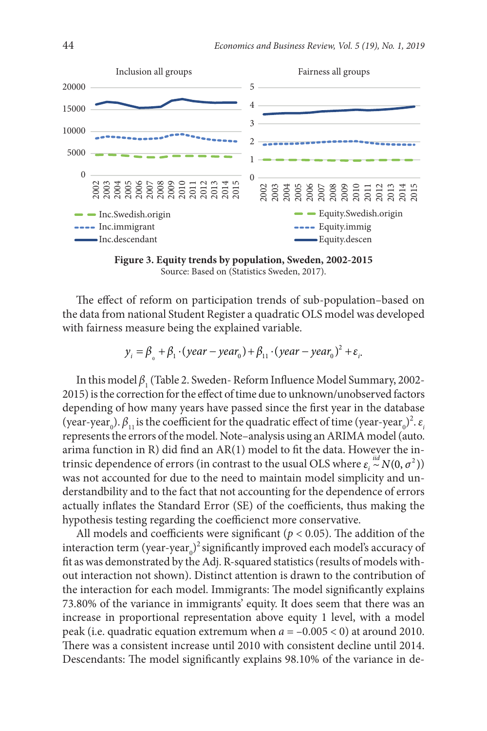

**Figure 3. Equity trends by population, Sweden, 2002-2015** Source: Based on (Statistics Sweden, 2017).

The effect of reform on participation trends of sub-population–based on the data from national Student Register a quadratic OLS model was developed with fairness measure being the explained variable.

 $y_i = \beta_{0} + \beta_{1} \cdot (year - year_{0}) + \beta_{11} \cdot (year - year_{0})^{2} + \varepsilon_{i}.$ 

In this model  $\beta_1$  (Table 2. Sweden- Reform Influence Model Summary, 2002-2015) is the correction for the effect of time due to unknown/unobserved factors depending of how many years have passed since the first year in the database (year-year<sub>0</sub>).  $\beta_{11}$  is the coefficient for the quadratic effect of time (year-year<sub>0</sub>)<sup>2</sup>.  $\varepsilon$ <sub>i</sub> represents the errors of the model. Note–analysis using an ARIMA model (auto. arima function in R) did find an AR(1) model to fit the data. However the intrinsic dependence of errors (in contrast to the usual OLS where  $\varepsilon_i \stackrel{iid}{\sim} N(0, \sigma^2)$ ) was not accounted for due to the need to maintain model simplicity and understandbility and to the fact that not accounting for the dependence of errors actually inflates the Standard Error (SE) of the coefficients, thus making the hypothesis testing regarding the coefficienct more conservative.

All models and coefficients were significant ( $p < 0.05$ ). The addition of the interaction term (year-year $_{0}$ )<sup>2</sup> significantly improved each model's accuracy of fit as was demonstrated by the Adj. R-squared statistics (results of models without interaction not shown). Distinct attention is drawn to the contribution of the interaction for each model. Immigrants: The model significantly explains 73.80% of the variance in immigrants' equity. It does seem that there was an increase in proportional representation above equity 1 level, with a model peak (i.e. quadratic equation extremum when *a* = –0.005 < 0) at around 2010. There was a consistent increase until 2010 with consistent decline until 2014. Descendants: The model significantly explains 98.10% of the variance in de-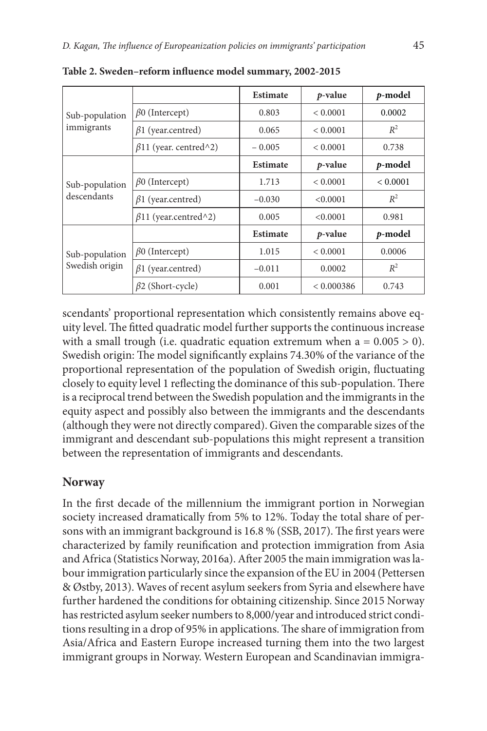| Sub-population<br>immigrants     |                              | <b>Estimate</b> | <i>p</i> -value | p-model  |
|----------------------------------|------------------------------|-----------------|-----------------|----------|
|                                  | $\beta$ 0 (Intercept)        | 0.803           | < 0.0001        | 0.0002   |
|                                  | $\beta$ 1 (year.centred)     | 0.065           | < 0.0001        | $R^2$    |
|                                  | $\beta$ 11 (year. centred^2) | $-0.005$        | < 0.0001        | 0.738    |
| Sub-population<br>descendants    |                              | <b>Estimate</b> | $p$ -value      | p-model  |
|                                  | $\beta$ 0 (Intercept)        | 1.713           | < 0.0001        | < 0.0001 |
|                                  | $\beta$ 1 (year.centred)     | $-0.030$        | < 0.0001        | $R^2$    |
|                                  | $\beta$ 11 (year.centred^2)  | 0.005           | <0.0001         | 0.981    |
| Sub-population<br>Swedish origin |                              | <b>Estimate</b> | $p$ -value      | p-model  |
|                                  | $\beta$ 0 (Intercept)        | 1.015           | < 0.0001        | 0.0006   |
|                                  | $\beta$ 1 (year.centred)     | $-0.011$        | 0.0002          | $R^2$    |
|                                  | $\beta$ 2 (Short-cycle)      | 0.001           | < 0.000386      | 0.743    |

**Table 2. Sweden–reform influence model summary, 2002-2015**

scendants' proportional representation which consistently remains above equity level. The fitted quadratic model further supports the continuous increase with a small trough (i.e. quadratic equation extremum when  $a = 0.005 > 0$ ). Swedish origin: The model significantly explains 74.30% of the variance of the proportional representation of the population of Swedish origin, fluctuating closely to equity level 1 reflecting the dominance of this sub-population. There is a reciprocal trend between the Swedish population and the immigrants in the equity aspect and possibly also between the immigrants and the descendants (although they were not directly compared). Given the comparable sizes of the immigrant and descendant sub-populations this might represent a transition between the representation of immigrants and descendants.

## **Norway**

In the first decade of the millennium the immigrant portion in Norwegian society increased dramatically from 5% to 12%. Today the total share of persons with an immigrant background is 16.8 % (SSB, 2017). The first years were characterized by family reunification and protection immigration from Asia and Africa (Statistics Norway, 2016a). After 2005 the main immigration was labour immigration particularly since the expansion of the EU in 2004 (Pettersen & Østby, 2013). Waves of recent asylum seekers from Syria and elsewhere have further hardened the conditions for obtaining citizenship. Since 2015 Norway has restricted asylum seeker numbers to 8,000/year and introduced strict conditions resulting in a drop of 95% in applications. The share of immigration from Asia/Africa and Eastern Europe increased turning them into the two largest immigrant groups in Norway. Western European and Scandinavian immigra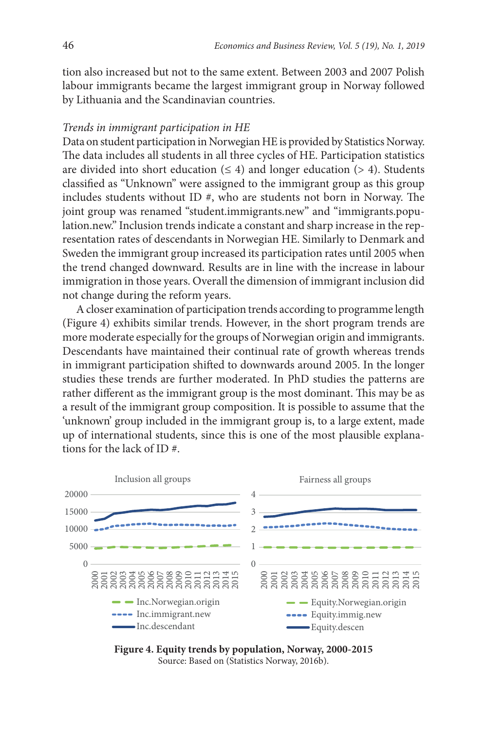tion also increased but not to the same extent. Between 2003 and 2007 Polish labour immigrants became the largest immigrant group in Norway followed by Lithuania and the Scandinavian countries.

#### *Trends in immigrant participation in HE*

Data on student participation in Norwegian HE is provided by Statistics Norway. The data includes all students in all three cycles of HE. Participation statistics are divided into short education  $(\leq 4)$  and longer education  $(> 4)$ . Students classified as "Unknown" were assigned to the immigrant group as this group includes students without ID #, who are students not born in Norway. The joint group was renamed "student.immigrants.new" and "immigrants.population.new." Inclusion trends indicate a constant and sharp increase in the representation rates of descendants in Norwegian HE. Similarly to Denmark and Sweden the immigrant group increased its participation rates until 2005 when the trend changed downward. Results are in line with the increase in labour immigration in those years. Overall the dimension of immigrant inclusion did not change during the reform years.

A closer examination of participation trends according to programme length (Figure 4) exhibits similar trends. However, in the short program trends are more moderate especially for the groups of Norwegian origin and immigrants. Descendants have maintained their continual rate of growth whereas trends in immigrant participation shifted to downwards around 2005. In the longer studies these trends are further moderated. In PhD studies the patterns are rather different as the immigrant group is the most dominant. This may be as a result of the immigrant group composition. It is possible to assume that the 'unknown' group included in the immigrant group is, to a large extent, made up of international students, since this is one of the most plausible explanations for the lack of ID #.



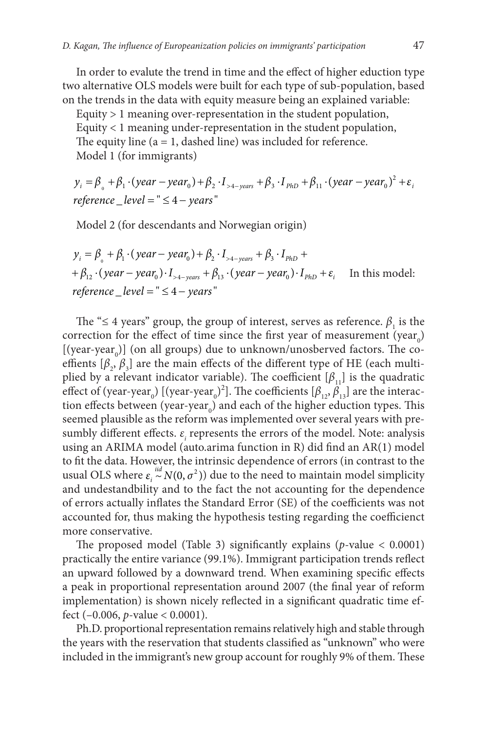In order to evalute the trend in time and the effect of higher eduction type two alternative OLS models were built for each type of sub-population, based on the trends in the data with equity measure being an explained variable:

Equity > 1 meaning over-representation in the student population, Equity < 1 meaning under-representation in the student population, The equity line  $(a = 1, dashed line)$  was included for reference. Model 1 (for immigrants)

 $^{\circ}$  $y_i = \beta_{\Box} + \beta_1 \cdot (year - year_{\Box}) + \beta_2 \cdot I_{\rightarrow+ years} + \beta_3 \cdot I_{PhD} + \beta_{11} \cdot (year - year_{\Box})^2 + \varepsilon_i$ *reference \_level =* " ≤ 4 – *years* "

Model 2 (for descendants and Norwegian origin)

$$
y_i = \beta_0 + \beta_1 \cdot (year - year_0) + \beta_2 \cdot I_{>4-year} + \beta_3 \cdot I_{PhD} ++ \beta_{12} \cdot (year - year_0) \cdot I_{>4-year} + \beta_{13} \cdot (year - year_0) \cdot I_{PhD} + \varepsilon_i
$$
 In this model:  
reference \_level = " ≤ 4 - years"

The " $\leq$  4 years" group, the group of interest, serves as reference.  $\beta_1$  is the correction for the effect of time since the first year of measurement (year<sub>0</sub>) [(year-year<sub>0</sub>)] (on all groups) due to unknown/unosberved factors. The coeffients  $[\beta_2, \beta_3]$  are the main effects of the different type of HE (each multiplied by a relevant indicator variable). The coefficient  $[\beta_{11}]$  is the quadratic effect of (year-year<sub>0</sub>) [(year-year<sub>0</sub>)<sup>2</sup>]. The coefficients [ $\beta_{12}$ ,  $\beta_{13}$ ] are the interaction effects between (year-year<sub>0</sub>) and each of the higher eduction types. This seemed plausible as the reform was implemented over several years with presumbly different effects.  $\varepsilon$ <sub>*i*</sub> represents the errors of the model. Note: analysis using an ARIMA model (auto.arima function in R) did find an AR(1) model to fit the data. However, the intrinsic dependence of errors (in contrast to the usual OLS where  $\varepsilon_i \stackrel{iid}{\sim} N(0, \sigma^2)$  due to the need to maintain model simplicity and undestandbility and to the fact the not accounting for the dependence of errors actually inflates the Standard Error (SE) of the coefficients was not accounted for, thus making the hypothesis testing regarding the coefficienct more conservative.

The proposed model (Table 3) significantly explains (*p*-value < 0.0001) practically the entire variance (99.1%). Immigrant participation trends reflect an upward followed by a downward trend. When examining specific effects a peak in proportional representation around 2007 (the final year of reform implementation) is shown nicely reflected in a significant quadratic time effect (–0.006, *p*-value < 0.0001).

Ph.D. proportional representation remains relatively high and stable through the years with the reservation that students classified as "unknown" who were included in the immigrant's new group account for roughly 9% of them. These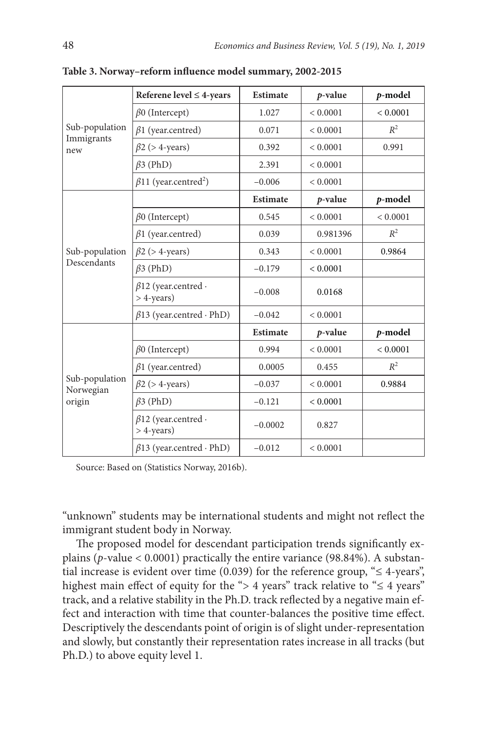| Sub-population<br>Immigrants<br>new   | Referene level $\leq$ 4-years                    | <b>Estimate</b> | p-value    | p-model      |
|---------------------------------------|--------------------------------------------------|-----------------|------------|--------------|
|                                       | $\beta$ 0 (Intercept)                            | 1.027           | < 0.0001   | < 0.0001     |
|                                       | $\beta$ 1 (year.centred)                         | 0.071           | < 0.0001   | $R^2$        |
|                                       | $\beta$ 2 (> 4-years)                            | 0.392           | < 0.0001   | 0.991        |
|                                       | $\beta$ 3 (PhD)                                  | 2.391           | < 0.0001   |              |
|                                       | $\beta$ 11 (year.centred <sup>2</sup> )          | $-0.006$        | < 0.0001   |              |
| Sub-population<br>Descendants         |                                                  | <b>Estimate</b> | p-value    | p-model      |
|                                       | $\beta$ 0 (Intercept)                            | 0.545           | < 0.0001   | ${}< 0.0001$ |
|                                       | $\beta$ 1 (year.centred)                         | 0.039           | 0.981396   | $R^2$        |
|                                       | $\beta$ 2 (> 4-years)                            | 0.343           | < 0.0001   | 0.9864       |
|                                       | $\beta$ 3 (PhD)                                  | $-0.179$        | < 0.0001   |              |
|                                       | $\beta$ 12 (year.centred $\cdot$<br>$>$ 4-years) | $-0.008$        | 0.0168     |              |
|                                       | $\beta$ 13 (year.centred · PhD)                  | $-0.042$        | < 0.0001   |              |
| Sub-population<br>Norwegian<br>origin |                                                  | <b>Estimate</b> | $p$ -value | p-model      |
|                                       | $\beta$ 0 (Intercept)                            | 0.994           | < 0.0001   | < 0.0001     |
|                                       | $\beta$ 1 (year.centred)                         | 0.0005          | 0.455      | $R^2$        |
|                                       | $\beta$ 2 (> 4-years)                            | $-0.037$        | < 0.0001   | 0.9884       |
|                                       | $\beta$ 3 (PhD)                                  | $-0.121$        | < 0.0001   |              |
|                                       | $\beta$ 12 (year.centred $\cdot$<br>$>$ 4-years) | $-0.0002$       | 0.827      |              |
|                                       | $\beta$ 13 (year.centred $\cdot$ PhD)            | $-0.012$        | < 0.0001   |              |

**Table 3. Norway–reform influence model summary, 2002-2015**

Source: Based on (Statistics Norway, 2016b).

"unknown" students may be international students and might not reflect the immigrant student body in Norway.

The proposed model for descendant participation trends significantly explains (*p*-value < 0.0001) practically the entire variance (98.84%). A substantial increase is evident over time (0.039) for the reference group, " $\leq$  4-years", highest main effect of equity for the "> 4 years" track relative to " $\leq$  4 years" track, and a relative stability in the Ph.D. track reflected by a negative main effect and interaction with time that counter-balances the positive time effect. Descriptively the descendants point of origin is of slight under-representation and slowly, but constantly their representation rates increase in all tracks (but Ph.D.) to above equity level 1.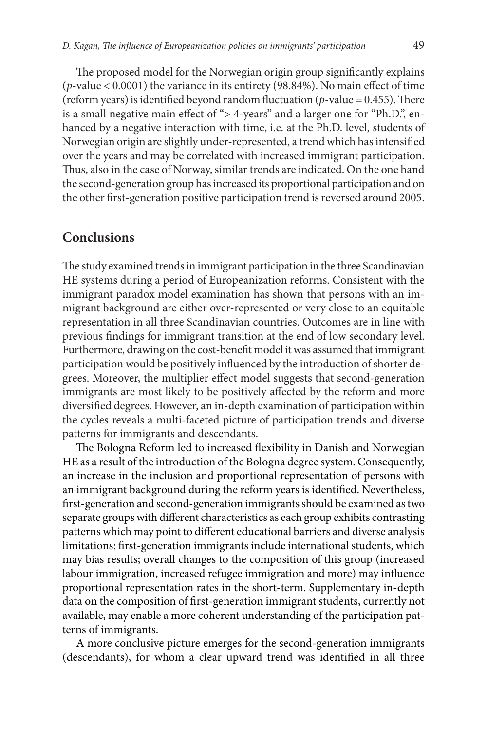The proposed model for the Norwegian origin group significantly explains (*p*-value < 0.0001) the variance in its entirety (98.84%). No main effect of time (reform years) is identified beyond random fluctuation ( $p$ -value = 0.455). There is a small negative main effect of "> 4-years" and a larger one for "Ph.D.", enhanced by a negative interaction with time, i.e. at the Ph.D. level, students of Norwegian origin are slightly under-represented, a trend which has intensified over the years and may be correlated with increased immigrant participation. Thus, also in the case of Norway, similar trends are indicated. On the one hand the second-generation group has increased its proportional participation and on the other first-generation positive participation trend is reversed around 2005.

### **Conclusions**

The study examined trends in immigrant participation in the three Scandinavian HE systems during a period of Europeanization reforms. Consistent with the immigrant paradox model examination has shown that persons with an immigrant background are either over-represented or very close to an equitable representation in all three Scandinavian countries. Outcomes are in line with previous findings for immigrant transition at the end of low secondary level. Furthermore, drawing on the cost-benefit model it was assumed that immigrant participation would be positively influenced by the introduction of shorter degrees. Moreover, the multiplier effect model suggests that second-generation immigrants are most likely to be positively affected by the reform and more diversified degrees. However, an in-depth examination of participation within the cycles reveals a multi-faceted picture of participation trends and diverse patterns for immigrants and descendants.

The Bologna Reform led to increased flexibility in Danish and Norwegian HE as a result of the introduction of the Bologna degree system. Consequently, an increase in the inclusion and proportional representation of persons with an immigrant background during the reform years is identified. Nevertheless, first-generation and second-generation immigrants should be examined as two separate groups with different characteristics as each group exhibits contrasting patterns which may point to different educational barriers and diverse analysis limitations: first-generation immigrants include international students, which may bias results; overall changes to the composition of this group (increased labour immigration, increased refugee immigration and more) may influence proportional representation rates in the short-term. Supplementary in-depth data on the composition of first-generation immigrant students, currently not available, may enable a more coherent understanding of the participation patterns of immigrants.

A more conclusive picture emerges for the second-generation immigrants (descendants), for whom a clear upward trend was identified in all three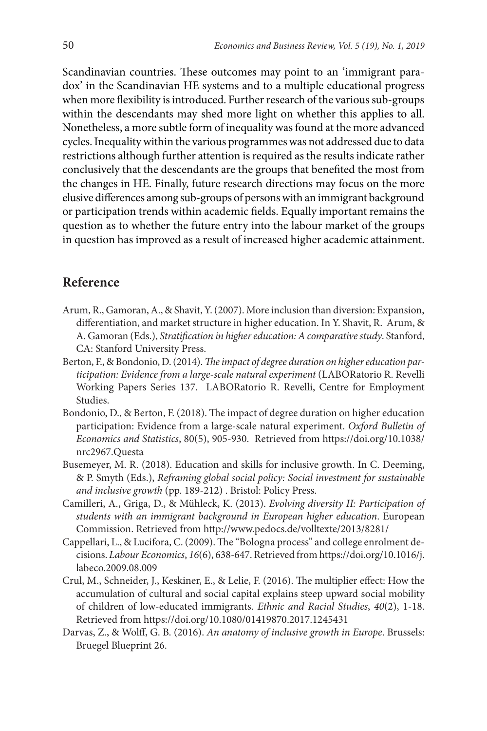Scandinavian countries. These outcomes may point to an 'immigrant paradox' in the Scandinavian HE systems and to a multiple educational progress when more flexibility is introduced. Further research of the various sub-groups within the descendants may shed more light on whether this applies to all. Nonetheless, a more subtle form of inequality was found at the more advanced cycles. Inequality within the various programmes was not addressed due to data restrictions although further attention is required as the results indicate rather conclusively that the descendants are the groups that benefited the most from the changes in HE. Finally, future research directions may focus on the more elusive differences among sub-groups of persons with an immigrant background or participation trends within academic fields. Equally important remains the question as to whether the future entry into the labour market of the groups in question has improved as a result of increased higher academic attainment.

# **Reference**

- Arum, R., Gamoran, A., & Shavit, Y. (2007). More inclusion than diversion: Expansion, differentiation, and market structure in higher education. In Y. Shavit, R. Arum, & A. Gamoran (Eds.), *Stratification in higher education: A comparative study*. Stanford, CA: Stanford University Press.
- Berton, F., & Bondonio, D. (2014). *The impact of degree duration on higher education participation: Evidence from a large-scale natural experiment* (LABORatorio R. Revelli Working Papers Series 137. LABORatorio R. Revelli, Centre for Employment Studies.
- Bondonio, D., & Berton, F. (2018). The impact of degree duration on higher education participation: Evidence from a large-scale natural experiment. *Oxford Bulletin of Economics and Statistics*, 80(5), 905-930. Retrieved from https://doi.org/10.1038/ nrc2967.Questa
- Busemeyer, M. R. (2018). Education and skills for inclusive growth. In C. Deeming, & P. Smyth (Eds.), *Reframing global social policy: Social investment for sustainable and inclusive growth* (pp. 189-212) . Bristol: Policy Press.
- Camilleri, A., Griga, D., & Mühleck, K. (2013). *Evolving diversity II: Participation of students with an immigrant background in European higher education*. European Commission. Retrieved from http://www.pedocs.de/volltexte/2013/8281/
- Cappellari, L., & Lucifora, C. (2009). The "Bologna process" and college enrolment decisions. *Labour Economics*, *16*(6), 638-647. Retrieved from https://doi.org/10.1016/j. labeco.2009.08.009
- Crul, M., Schneider, J., Keskiner, E., & Lelie, F. (2016). The multiplier effect: How the accumulation of cultural and social capital explains steep upward social mobility of children of low-educated immigrants. *Ethnic and Racial Studies*, *40*(2), 1-18. Retrieved from https://doi.org/10.1080/01419870.2017.1245431
- Darvas, Z., & Wolff, G. B. (2016). *An anatomy of inclusive growth in Europe*. Brussels: Bruegel Blueprint 26.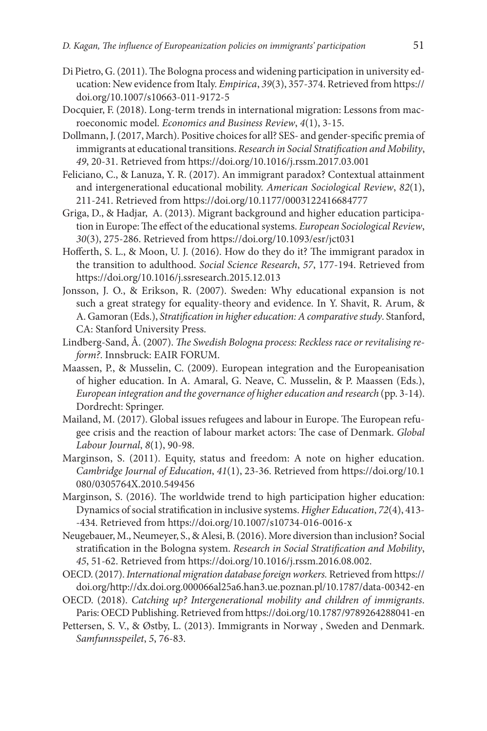- Di Pietro, G. (2011). The Bologna process and widening participation in university education: New evidence from Italy. *Empirica*, *39*(3), 357-374. Retrieved from https:// doi.org/10.1007/s10663-011-9172-5
- Docquier, F. (2018). Long-term trends in international migration: Lessons from macroeconomic model. *Economics and Business Review*, *4*(1), 3-15.
- Dollmann, J. (2017, March). Positive choices for all? SES- and gender-specific premia of immigrants at educational transitions. *Research in Social Stratification and Mobility*, *49*, 20-31. Retrieved from https://doi.org/10.1016/j.rssm.2017.03.001
- Feliciano, C., & Lanuza, Y. R. (2017). An immigrant paradox? Contextual attainment and intergenerational educational mobility. *American Sociological Review*, *82*(1), 211-241. Retrieved from https://doi.org/10.1177/0003122416684777
- Griga, D., & Hadjar, A. (2013). Migrant background and higher education participation in Europe: The effect of the educational systems. *European Sociological Review*, *30*(3), 275-286. Retrieved from https://doi.org/10.1093/esr/jct031
- Hofferth, S. L., & Moon, U. J. (2016). How do they do it? The immigrant paradox in the transition to adulthood. *Social Science Research*, *57*, 177-194. Retrieved from https://doi.org/10.1016/j.ssresearch.2015.12.013
- Jonsson, J. O., & Erikson, R. (2007). Sweden: Why educational expansion is not such a great strategy for equality-theory and evidence. In Y. Shavit, R. Arum, & A. Gamoran (Eds.), *Stratification in higher education: A comparative study*. Stanford, CA: Stanford University Press.
- Lindberg-Sand, Å. (2007). *The Swedish Bologna process: Reckless race or revitalising reform?*. Innsbruck: EAIR FORUM.
- Maassen, P., & Musselin, C. (2009). European integration and the Europeanisation of higher education. In A. Amaral, G. Neave, C. Musselin, & P. Maassen (Eds.), *European integration and the governance of higher education and research* (pp. 3-14). Dordrecht: Springer.
- Mailand, M. (2017). Global issues refugees and labour in Europe. The European refugee crisis and the reaction of labour market actors: The case of Denmark. *Global Labour Journal*, *8*(1), 90-98.
- Marginson, S. (2011). Equity, status and freedom: A note on higher education. *Cambridge Journal of Education*, *41*(1), 23-36. Retrieved from https://doi.org/10.1 080/0305764X.2010.549456
- Marginson, S. (2016). The worldwide trend to high participation higher education: Dynamics of social stratification in inclusive systems. *Higher Education*, *72*(4), 413- -434. Retrieved from https://doi.org/10.1007/s10734-016-0016-x
- Neugebauer, M., Neumeyer, S., & Alesi, B. (2016). More diversion than inclusion? Social stratification in the Bologna system. *Research in Social Stratification and Mobility*, *45*, 51-62. Retrieved from https://doi.org/10.1016/j.rssm.2016.08.002.
- OECD. (2017). *International migration database foreign workers.* Retrieved from https:// doi.org/http://dx.doi.org.000066al25a6.han3.ue.poznan.pl/10.1787/data-00342-en
- OECD. (2018). *Catching up? Intergenerational mobility and children of immigrants*. Paris: OECD Publishing. Retrieved from https://doi.org/10.1787/9789264288041-en
- Pettersen, S. V., & Østby, L. (2013). Immigrants in Norway , Sweden and Denmark. *Samfunnsspeilet*, *5*, 76-83.